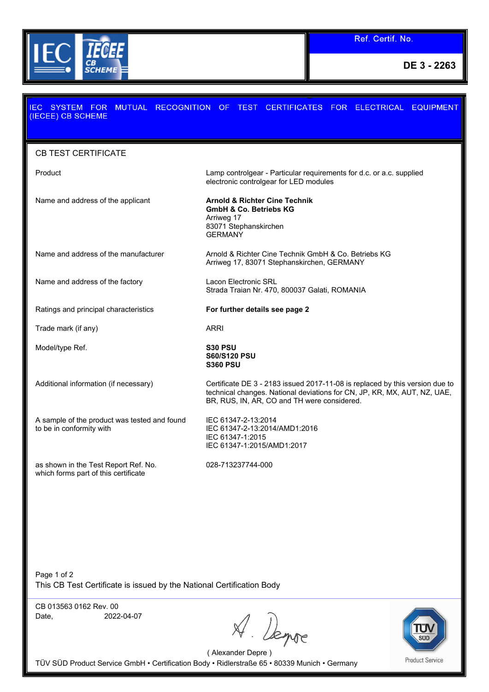

**DE 3 - 2263**

## MUTUAL RECOGNITION OF TEST CERTIFICATES FOR ELECTRICAL EQUIPMENT **EC SYSTEM FOR** (IECEE) CB SCHEME CB TEST CERTIFICATE Product Lamp controlgear - Particular requirements for d.c. or a.c. supplied electronic controlgear for LED modules Name and address of the applicant **Arnold & Richter Cine Technik GmbH & Co. Betriebs KG** Arriweg 17 83071 Stephanskirchen **GERMANY** Name and address of the manufacturer **Arnold & Richter Cine Technik GmbH & Co. Betriebs KG** Arriweg 17, 83071 Stephanskirchen, GERMANY Name and address of the factory **Lacon Electronic SRL** Strada Traian Nr. 470, 800037 Galati, ROMANIA Ratings and principal characteristics **For further details see page 2** Trade mark (if any) ARRI Model/type Ref. **S30 PSU S60/S120 PSU S360 PSU** Additional information (if necessary) Certificate DE 3 - 2183 issued 2017-11-08 is replaced by this version due to technical changes. National deviations for CN, JP, KR, MX, AUT, NZ, UAE, BR, RUS, IN, AR, CO and TH were considered. A sample of the product was tested and found IEC 61347-2-13:2014 to be in conformity with IEC 61347-2-13:2014/AMD1:2016 IEC 61347-1:2015 IEC 61347-1:2015/AMD1:2017 028-713237744-000as shown in the Test Report Ref. No. which forms part of this certificate

Page 1 of 2 This CB Test Certificate is issued by the National Certification Body

CB 013563 0162 Rev. 00 Date, 2022-04-07

Bense



( Alexander Depre ) TÜV SÜD Product Service GmbH • Certification Body • Ridlerstraße 65 • 80339 Munich • Germany